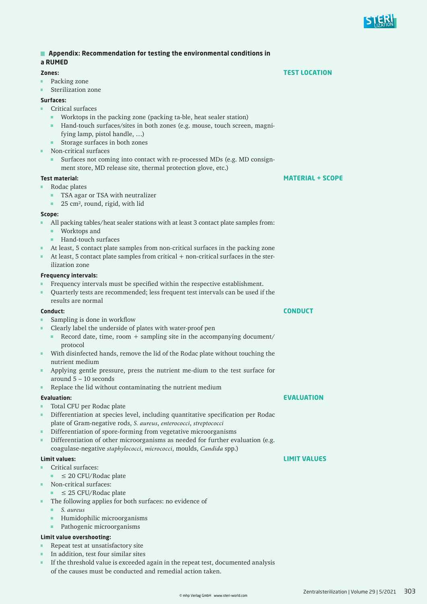| Appendix: Recommendation for testing the environmental conditions in |                                                                                                         |                         |
|----------------------------------------------------------------------|---------------------------------------------------------------------------------------------------------|-------------------------|
|                                                                      | a RUMED                                                                                                 |                         |
|                                                                      | Zones:                                                                                                  | <b>TEST LOCATION</b>    |
| п                                                                    | Packing zone                                                                                            |                         |
| п                                                                    | Sterilization zone                                                                                      |                         |
| Surfaces:                                                            |                                                                                                         |                         |
| ٠                                                                    | Critical surfaces                                                                                       |                         |
|                                                                      | Worktops in the packing zone (packing ta-ble, heat sealer station)                                      |                         |
|                                                                      | Hand-touch surfaces/sites in both zones (e.g. mouse, touch screen, magni-<br>ш                          |                         |
|                                                                      | fying lamp, pistol handle, )                                                                            |                         |
|                                                                      | Storage surfaces in both zones                                                                          |                         |
| ш                                                                    | Non-critical surfaces                                                                                   |                         |
|                                                                      | Surfaces not coming into contact with re-processed MDs (e.g. MD consign-                                |                         |
|                                                                      | ment store, MD release site, thermal protection glove, etc.)                                            |                         |
|                                                                      | <b>Test material:</b>                                                                                   | <b>MATERIAL + SCOPE</b> |
| ш                                                                    | Rodac plates                                                                                            |                         |
|                                                                      | TSA agar or TSA with neutralizer                                                                        |                         |
|                                                                      | 25 cm <sup>2</sup> , round, rigid, with lid<br>ш                                                        |                         |
| Scope:                                                               |                                                                                                         |                         |
|                                                                      | All packing tables/heat sealer stations with at least 3 contact plate samples from:                     |                         |
|                                                                      | Worktops and<br>٠                                                                                       |                         |
|                                                                      | Hand-touch surfaces<br>٠                                                                                |                         |
| ш                                                                    | At least, 5 contact plate samples from non-critical surfaces in the packing zone                        |                         |
| ш                                                                    | At least, 5 contact plate samples from critical + non-critical surfaces in the ster-                    |                         |
|                                                                      | ilization zone                                                                                          |                         |
|                                                                      | <b>Frequency intervals:</b>                                                                             |                         |
| ш                                                                    | Frequency intervals must be specified within the respective establishment.                              |                         |
| ш                                                                    | Quarterly tests are recommended; less frequent test intervals can be used if the                        |                         |
|                                                                      | results are normal                                                                                      |                         |
| Conduct:                                                             |                                                                                                         | CONDUCT                 |
|                                                                      | Sampling is done in workflow                                                                            |                         |
| ٠                                                                    | Clearly label the underside of plates with water-proof pen                                              |                         |
|                                                                      | Record date, time, room + sampling site in the accompanying document/                                   |                         |
|                                                                      | protocol                                                                                                |                         |
| ٠                                                                    | With disinfected hands, remove the lid of the Rodac plate without touching the                          |                         |
|                                                                      | nutrient medium                                                                                         |                         |
|                                                                      | Applying gentle pressure, press the nutrient me-dium to the test surface for<br>around $5 - 10$ seconds |                         |
| π                                                                    | Replace the lid without contaminating the nutrient medium                                               |                         |
|                                                                      |                                                                                                         |                         |
| ш                                                                    | <b>Evaluation:</b><br>Total CFU per Rodac plate                                                         | <b>EVALUATION</b>       |
| π                                                                    | Differentiation at species level, including quantitative specification per Rodac                        |                         |
|                                                                      | plate of Gram-negative rods, S. aureus, enterococci, streptococci                                       |                         |
| ш                                                                    | Differentiation of spore-forming from vegetative microorganisms                                         |                         |
| ٠                                                                    | Differentiation of other microorganisms as needed for further evaluation (e.g.                          |                         |
|                                                                      | coagulase-negative staphylococci, micrococci, moulds, Candida spp.)                                     |                         |
|                                                                      | <b>Limit values:</b>                                                                                    | <b>LIMIT VALUES</b>     |
| ш                                                                    | Critical surfaces:                                                                                      |                         |
|                                                                      | $\leq$ 20 CFU/Rodac plate<br>٠                                                                          |                         |
| ш                                                                    | Non-critical surfaces:                                                                                  |                         |
|                                                                      | $\leq$ 25 CFU/Rodac plate                                                                               |                         |
| ш                                                                    | The following applies for both surfaces: no evidence of                                                 |                         |
|                                                                      | S. aureus                                                                                               |                         |
|                                                                      | Humidophilic microorganisms<br>ш                                                                        |                         |
|                                                                      | Pathogenic microorganisms<br>ш                                                                          |                         |
| <b>Limit value overshooting:</b>                                     |                                                                                                         |                         |
| ш                                                                    | Repeat test at unsatisfactory site                                                                      |                         |
| п                                                                    | In addition, test four similar sites                                                                    |                         |
|                                                                      | If the threshold value is exceeded again in the repeat test, documented analysis                        |                         |

of the causes must be conducted and remedial action taken.